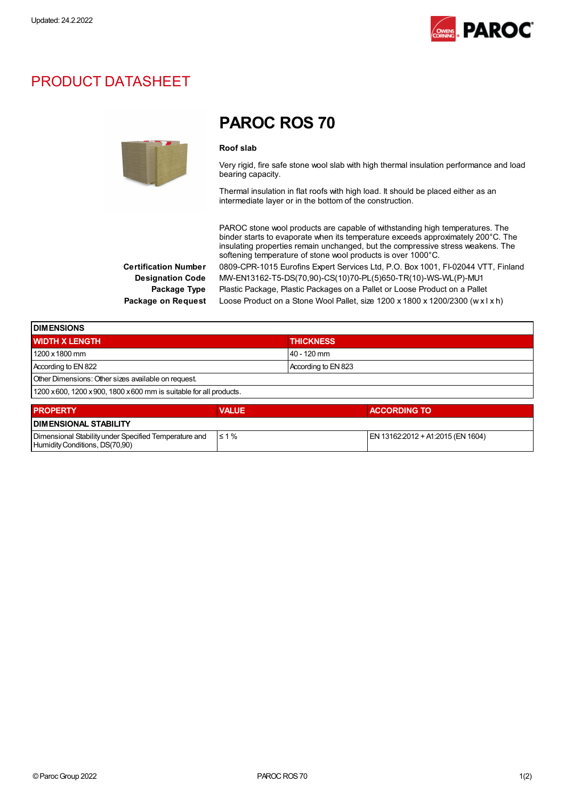

## PRODUCT DATASHEET



## PAROC ROS 70

## Roof slab

Very rigid, fire safe stone wool slab with high thermal insulation performance and load bearing capacity.

Thermal insulation in flat roofs with high load. It should be placed either as an intermediate layer or in the bottom of the construction.

PAROC stone wool products are capable of withstanding high temperatures. The binder starts to evaporate when its temperature exceeds approximately 200°C. The insulating properties remain unchanged, but the compressive stress weakens. The softening temperature of stone wool products is over 1000°C. Certification Number 0809-CPR-1015 Eurofins Expert Services Ltd, P.O. Box 1001, FI-02044 VTT, Finland Designation Code MW-EN13162-T5-DS(70,90)-CS(10)70-PL(5)650-TR(10)-WS-WL(P)-MU1 Package Type Plastic Package, Plastic Packages on a Pallet or Loose Product on a Pallet Package on Request Loose Product on a Stone Wool Pallet, size 1200 x 1800 x 1200/2300 (w x l x h)

≤ 1 % EN 13162:2012 + A1:2015 (EN 1604)

Dimensional Stabilityunder Specified Temperature and

Humidity Conditions, DS(70,90)

| <b>DIMENSIONS</b>                                                   |              |                     |  |  |
|---------------------------------------------------------------------|--------------|---------------------|--|--|
| <b>WIDTH X LENGTH</b>                                               |              | <b>THICKNESS</b>    |  |  |
| 1200 x 1800 mm                                                      |              | 40 - 120 mm         |  |  |
| According to EN 822                                                 |              | According to EN 823 |  |  |
| Other Dimensions: Other sizes available on request.                 |              |                     |  |  |
| 1200 x 600, 1200 x 900, 1800 x 600 mm is suitable for all products. |              |                     |  |  |
| <b>PROPERTY</b>                                                     | <b>VALUE</b> | <b>ACCORDING TO</b> |  |  |
| <b>DIMENSIONAL STABILITY</b>                                        |              |                     |  |  |